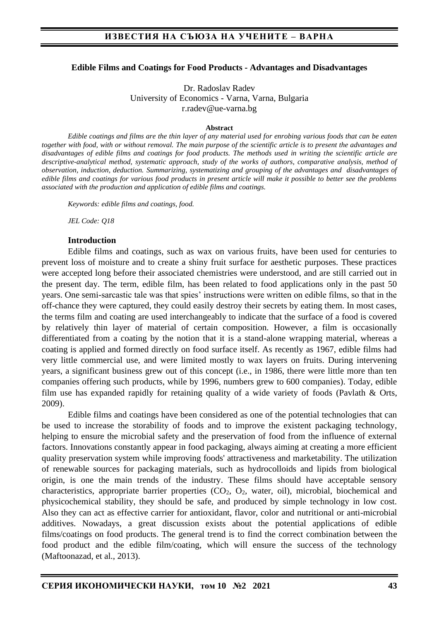### **Edible Films and Coatings for Food Products - Advantages and Disadvantages**

Dr. Radoslav Radev University of Economics - Varna, Varna, Bulgaria r.radev@ue-varna.bg

#### **Abstract**

*Edible coatings and films are the thin layer of any material used for enrobing various foods that can be eaten together with food, with or without removal. The main purpose of the scientific article is to present the advantages and disadvantages of edible films and coatings for food products. The methods used in writing the scientific article are descriptive-analytical method, systematic approach, study of the works of authors, comparative analysis, method of observation, induction, deduction. Summarizing, systematizing and grouping of the advantages and disadvantages of edible films and coatings for various food products in present article will make it possible to better see the problems associated with the production and application of edible films and coatings.*

*Keywords: edible films and coatings, food.*

*JEL Code: Q18*

#### **Introduction**

Edible films and coatings, such as wax on various fruits, have been used for centuries to prevent loss of moisture and to create a shiny fruit surface for aesthetic purposes. These practices were accepted long before their associated chemistries were understood, and are still carried out in the present day. The term, edible film, has been related to food applications only in the past 50 years. One semi-sarcastic tale was that spies' instructions were written on edible films, so that in the off-chance they were captured, they could easily destroy their secrets by eating them. In most cases, the terms film and coating are used interchangeably to indicate that the surface of a food is covered by relatively thin layer of material of certain composition. However, a film is occasionally differentiated from a coating by the notion that it is a stand-alone wrapping material, whereas a coating is applied and formed directly on food surface itself. As recently as 1967, edible films had very little commercial use, and were limited mostly to wax layers on fruits. During intervening years, a significant business grew out of this concept (i.e., in 1986, there were little more than ten companies offering such products, while by 1996, numbers grew to 600 companies). Today, edible film use has expanded rapidly for retaining quality of a wide variety of foods (Pavlath & Orts, 2009).

Edible films and coatings have been considered as one of the potential technologies that can be used to increase the storability of foods and to improve the existent packaging technology, helping to ensure the microbial safety and the preservation of food from the influence of external factors. Innovations constantly appear in food packaging, always aiming at creating a more efficient quality preservation system while improving foods' attractiveness and marketability. The utilization of renewable sources for packaging materials, such as hydrocolloids and lipids from biological origin, is one the main trends of the industry. These films should have acceptable sensory characteristics, appropriate barrier properties  $(CO_2, O_2, Water, oil)$ , microbial, biochemical and physicochemical stability, they should be safe, and produced by simple technology in low cost. Also they can act as effective carrier for antioxidant, flavor, color and nutritional or anti-microbial additives. Nowadays, a great discussion exists about the potential applications of edible films/coatings on food products. The general trend is to find the correct combination between the food product and the edible film/coating, which will ensure the success of the technology (Maftoonazad, et al., 2013).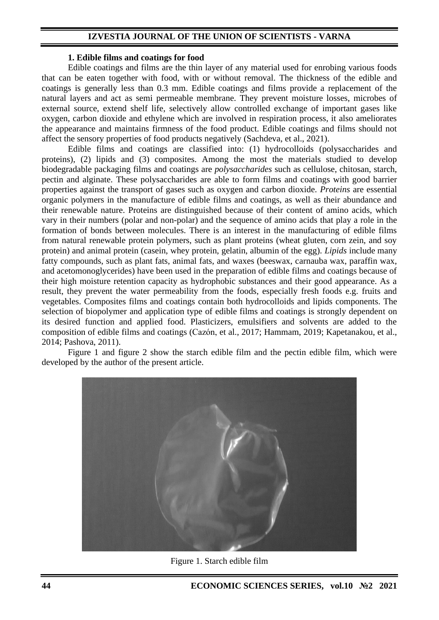#### **1. Edible films and coatings for food**

Edible coatings and films are the thin layer of any material used for enrobing various foods that can be eaten together with food, with or without removal. The thickness of the edible and coatings is generally less than 0.3 mm. Edible coatings and films provide a replacement of the natural layers and act as semi permeable membrane. They prevent moisture losses, microbes of external source, extend shelf life, selectively allow controlled exchange of important gases like oxygen, carbon dioxide and ethylene which are involved in respiration process, it also ameliorates the appearance and maintains firmness of the food product. Edible coatings and films should not affect the sensory properties of food products negatively (Sachdeva, et al., 2021).

Edible films and coatings are classified into: (1) hydrocolloids (polysaccharides and proteins), (2) lipids and (3) composites. Among the most the materials studied to develop biodegradable packaging films and coatings are *polysaccharides* such as cellulose, chitosan, starch, pectin and alginate. These polysaccharides are able to form films and coatings with good barrier properties against the transport of gases such as oxygen and carbon dioxide. *Proteins* are essential organic polymers in the manufacture of edible films and coatings, as well as their abundance and their renewable nature. Proteins are distinguished because of their content of amino acids, which vary in their numbers (polar and non-polar) and the sequence of amino acids that play a role in the formation of bonds between molecules. There is an interest in the manufacturing of edible films from natural renewable protein polymers, such as plant proteins (wheat gluten, corn zein, and soy protein) and animal protein (casein, whey protein, gelatin, albumin of the egg). *Lipids* include many fatty compounds, such as plant fats, animal fats, and waxes (beeswax, carnauba wax, paraffin wax, and acetomonoglycerides) have been used in the preparation of edible films and coatings because of their high moisture retention capacity as hydrophobic substances and their good appearance. As a result, they prevent the water permeability from the foods, especially fresh foods e.g. fruits and vegetables. Composites films and coatings contain both hydrocolloids and lipids components. The selection of biopolymer and application type of edible films and coatings is strongly dependent on its desired function and applied food. Plasticizers, emulsifiers and solvents are added to the composition of edible films and coatings (Cazón, et al., 2017; Hammam, 2019; Kapetanakou, et al., 2014; Pashova, 2011).

Figure 1 and figure 2 show the starch edible film and the pectin edible film, which were developed by the author of the present article.



Figure 1. Starch edible film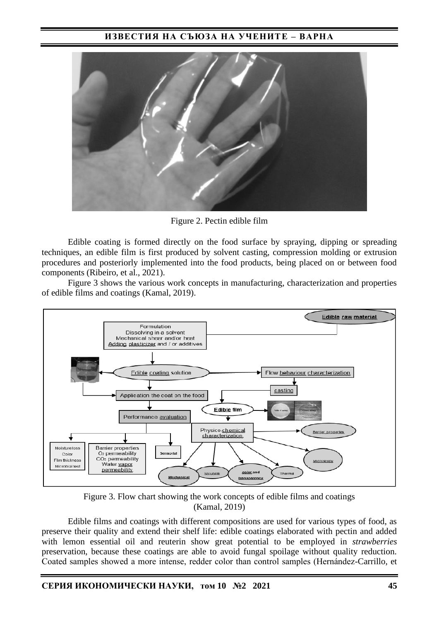

Figure 2. Pectin edible film

Edible coating is formed directly on the food surface by spraying, dipping or spreading techniques, an edible film is first produced by solvent casting, compression molding or extrusion procedures and posteriorly implemented into the food products, being placed on or between food components (Ribeiro, et al., 2021).

Figure 3 shows the various work concepts in manufacturing, characterization and properties of edible films and coatings (Kamal, 2019).



Figure 3. Flow chart showing the work concepts of edible films and coatings (Kamal, 2019)

Edible films and coatings with different compositions are used for various types of food, as preserve their quality and extend their shelf life: edible coatings elaborated with pectin and added with lemon essential oil and reuterin show great potential to be employed in *strawberries*  preservation, because these coatings are able to avoid fungal spoilage without quality reduction. Coated samples showed a more intense, redder color than control samples (Hernández-Carrillo, et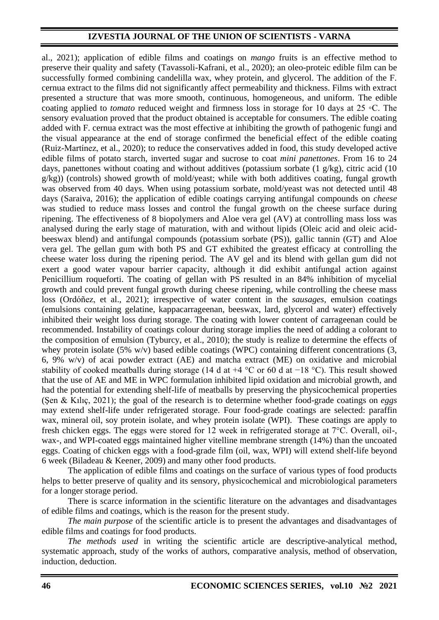al., 2021); application of edible films and coatings on *mango* fruits is an effective method to preserve their quality and safety (Tavassoli-Kafrani, et al., 2020); an oleo-proteic edible film can be successfully formed combining candelilla wax, whey protein, and glycerol. The addition of the F. cernua extract to the films did not significantly affect permeability and thickness. Films with extract presented a structure that was more smooth, continuous, homogeneous, and uniform. The edible coating applied to *tomato* reduced weight and firmness loss in storage for 10 days at 25 ◦C. Тhe sensory evaluation proved that the product obtained is acceptable for consumers. The edible coating added with F. cernua extract was the most effective at inhibiting the growth of pathogenic fungi and the visual appearance at the end of storage confirmed the beneficial effect of the edible coating (Ruiz-Martínez, et al., 2020); to reduce the conservatives added in food, this study developed active edible films of potato starch, inverted sugar and sucrose to coat *mini panettones*. From 16 to 24 days, panettones without coating and without additives (potassium sorbate  $(1 \text{ g/kg})$ , citric acid  $(10 \text{ g/kg})$ g/kg)) (controls) showed growth of mold/yeast; while with both additives coating, fungal growth was observed from 40 days. When using potassium sorbate, mold/yeast was not detected until 48 days (Saraiva, 2016); the application of edible coatings carrying antifungal compounds on *cheese* was studied to reduce mass losses and control the fungal growth on the cheese surface during ripening. The effectiveness of 8 biopolymers and Aloe vera gel (AV) at controlling mass loss was analysed during the early stage of maturation, with and without lipids (Oleic acid and oleic acidbeeswax blend) and antifungal compounds (potassium sorbate (PS)), gallic tannin (GT) and Aloe vera gel. The gellan gum with both PS and GT exhibited the greatest efficacy at controlling the cheese water loss during the ripening period. The AV gel and its blend with gellan gum did not exert a good water vapour barrier capacity, although it did exhibit antifungal action against Penicillium roqueforti. The coating of gellan with PS resulted in an 84% inhibition of mycelial growth and could prevent fungal growth during cheese ripening, while controlling the cheese mass loss (Ordóñez, et al., 2021); irrespective of water content in the *sausages*, emulsion coatings (emulsions containing gelatine, kappacarrageenan, beeswax, lard, glycerol and water) effectively inhibited their weight loss during storage. The coating with lower content of carrageenan could be recommended. Instability of coatings colour during storage implies the need of adding a colorant to the composition of emulsion (Tyburcy, et al., 2010); the study is realize to determine the effects of whey protein isolate (5% w/v) based edible coatings (WPC) containing different concentrations (3, 6, 9% w/v) of acai powder extract (AE) and matcha extract (ME) on oxidative and microbial stability of cooked meatballs during storage (14 d at +4 °C or 60 d at −18 °C). This result showed that the use of AE and ME in WPC formulation inhibited lipid oxidation and microbial growth, and had the potential for extending shelf-life of meatballs by preserving the physicochemical properties (Şen & Kılıç, 2021); the goal of the research is to determine whether food-grade coatings on *eggs* may extend shelf-life under refrigerated storage. Four food-grade coatings are selected: paraffin wax, mineral oil, soy protein isolate, and whey protein isolate (WPI). These coatings are apply to fresh chicken eggs. The eggs were stored for 12 week in refrigerated storage at 7°C. Overall, oil-, wax-, and WPI-coated eggs maintained higher vitelline membrane strength (14%) than the uncoated eggs. Coating of chicken eggs with a food-grade film (oil, wax, WPI) will extend shelf-life beyond 6 week (Biladeau & Keener, 2009) and many other food products.

The application of edible films and coatings on the surface of various types of food products helps to better preserve of quality and its sensory, physicochemical and microbiological parameters for a longer storage period.

There is scarce information in the scientific literature on the advantages and disadvantages of edible films and coatings, which is the reason for the present study.

*The main purpose* of the scientific article is to present the advantages and disadvantages of edible films and coatings for food products.

*The methods used* in writing the scientific article are descriptive-analytical method, systematic approach, study of the works of authors, comparative analysis, method of observation, induction, deduction.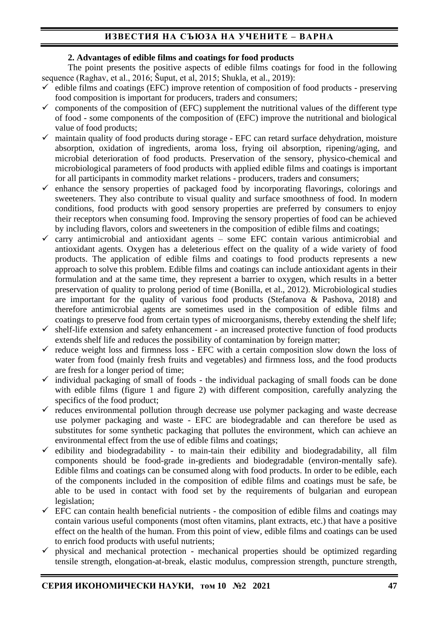## **2. Advantages of edible films and coatings for food products**

The point presents the positive aspects of edible films coatings for food in the following sequence (Raghav, et al., 2016; Šuput, et al, 2015; Shukla, et al., 2019):

- $\checkmark$  edible films and coatings (EFC) improve retention of composition of food products preserving food composition is important for producers, traders and consumers;
- $\checkmark$  components of the composition of (EFC) supplement the nutritional values of the different type of food - some components of the composition of (EFC) improve the nutritional and biological value of food products;
- $\checkmark$  maintain quality of food products during storage EFC can retard surface dehydration, moisture absorption, oxidation of ingredients, aroma loss, frying oil absorption, ripening/aging, and microbial deterioration of food products. Preservation of the sensory, physico-chemical and microbiological parameters of food products with applied edible films and coatings is important for all participants in commodity market relations - producers, traders and consumers;
- $\checkmark$  enhance the sensory properties of packaged food by incorporating flavorings, colorings and sweeteners. They also contribute to visual quality and surface smoothness of food. In modern conditions, food products with good sensory properties are preferred by consumers to enjoy their receptors when consuming food. Improving the sensory properties of food can be achieved by including flavors, colors and sweeteners in the composition of edible films and coatings;
- $\checkmark$  carry antimicrobial and antioxidant agents some EFC contain various antimicrobial and antioxidant agents. Oxygen has a deleterious effect on the quality of a wide variety of food products. The application of edible films and coatings to food products represents a new approach to solve this problem. Edible films and coatings can include antioxidant agents in their formulation and at the same time, they represent a barrier to oxygen, which results in a better preservation of quality to prolong period of time (Bonilla, et al., 2012). Microbiological studies are important for the quality of various food products (Stefanova & Pashova, 2018) and therefore antimicrobial agents are sometimes used in the composition of edible films and coatings to preserve food from certain types of microorganisms, thereby extending the shelf life;
- $\checkmark$  shelf-life extension and safety enhancement an increased protective function of food products extends shelf life and reduces the possibility of contamination by foreign matter;
- $\checkmark$  reduce weight loss and firmness loss EFC with a certain composition slow down the loss of water from food (mainly fresh fruits and vegetables) and firmness loss, and the food products are fresh for a longer period of time;
- $\checkmark$  individual packaging of small of foods the individual packaging of small foods can be done with edible films (figure 1 and figure 2) with different composition, carefully analyzing the specifics of the food product;
- $\checkmark$  reduces environmental pollution through decrease use polymer packaging and waste decrease use polymer packaging and waste - EFC are biodegradable and can therefore be used as substitutes for some synthetic packaging that pollutes the environment, which can achieve an environmental effect from the use of edible films and coatings;
- $\checkmark$  edibility and biodegradability to main-tain their edibility and biodegradability, all film components should be food-grade in-gredients and biodegradable (environ-mentally safe). Edible films and coatings can be consumed along with food products. In order to be edible, each of the components included in the composition of edible films and coatings must be safe, be able to be used in contact with food set by the requirements of bulgarian and european legislation;
- $\checkmark$  EFC can contain health beneficial nutrients the composition of edible films and coatings may contain various useful components (most often vitamins, plant extracts, etc.) that have a positive effect on the health of the human. From this point of view, edible films and coatings can be used to enrich food products with useful nutrients;
- $\checkmark$  physical and mechanical protection mechanical properties should be optimized regarding tensile strength, elongation-at-break, elastic modulus, compression strength, puncture strength,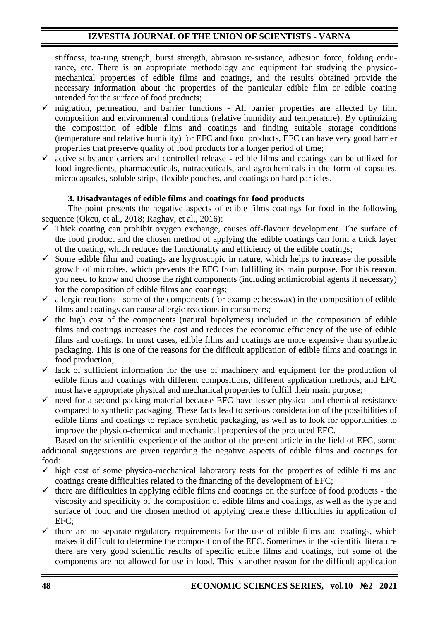stiffness, tea-ring strength, burst strength, abrasion re-sistance, adhesion force, folding endurance, etc. There is an appropriate methodology and equipment for studying the physicomechanical properties of edible films and coatings, and the results obtained provide the necessary information about the properties of the particular edible film or edible coating intended for the surface of food products;

- $\checkmark$  migration, permeation, and barrier functions All barrier properties are affected by film composition and environmental conditions (relative humidity and temperature). By optimizing the composition of edible films and coatings and finding suitable storage conditions (temperature and relative humidity) for EFC and food products, EFC can have very good barrier properties that preserve quality of food products for a longer period of time;
- $\checkmark$  active substance carriers and controlled release edible films and coatings can be utilized for food ingredients, pharmaceuticals, nutraceuticals, and agrochemicals in the form of capsules, microcapsules, soluble strips, flexible pouches, and coatings on hard particles.

### **3. Disadvantages of edible films and coatings for food products**

The point presents the negative aspects of edible films coatings for food in the following sequence (Okcu, et al., 2018; Raghav, et al., 2016):

- $\checkmark$  Thick coating can prohibit oxygen exchange, causes off-flavour development. The surface of the food product and the chosen method of applying the edible coatings can form a thick layer of the coating, which reduces the functionality and efficiency of the edible coatings;
- $\checkmark$  Some edible film and coatings are hygroscopic in nature, which helps to increase the possible growth of microbes, which prevents the EFC from fulfilling its main purpose. For this reason, you need to know and choose the right components (including antimicrobial agents if necessary) for the composition of edible films and coatings;
- $\checkmark$  allergic reactions some of the components (for example: beeswax) in the composition of edible films and coatings can cause allergic reactions in consumers;
- $\checkmark$  the high cost of the components (natural bipolymers) included in the composition of edible films and coatings increases the cost and reduces the economic efficiency of the use of edible films and coatings. In most cases, edible films and coatings are more expensive than synthetic packaging. This is one of the reasons for the difficult application of edible films and coatings in food production;
- $\checkmark$  lack of sufficient information for the use of machinery and equipment for the production of edible films and coatings with different compositions, different application methods, and EFC must have appropriate physical and mechanical properties to fulfill their main purpose;
- $\checkmark$  need for a second packing material because EFC have lesser physical and chemical resistance compared to synthetic packaging. These facts lead to serious consideration of the possibilities of edible films and coatings to replace synthetic packaging, as well as to look for opportunities to improve the physico-chemical and mechanical properties of the produced EFC.

Based on the scientific experience of the author of the present article in the field of EFC, some additional suggestions are given regarding the negative aspects of edible films and coatings for food:

- $\checkmark$  high cost of some physico-mechanical laboratory tests for the properties of edible films and coatings create difficulties related to the financing of the development of EFC;
- $\checkmark$  there are difficulties in applying edible films and coatings on the surface of food products the viscosity and specificity of the composition of edible films and coatings, as well as the type and surface of food and the chosen method of applying create these difficulties in application of EFC;
- $\checkmark$  there are no separate regulatory requirements for the use of edible films and coatings, which makes it difficult to determine the composition of the EFC. Sometimes in the scientific literature there are very good scientific results of specific edible films and coatings, but some of the components are not allowed for use in food. This is another reason for the difficult application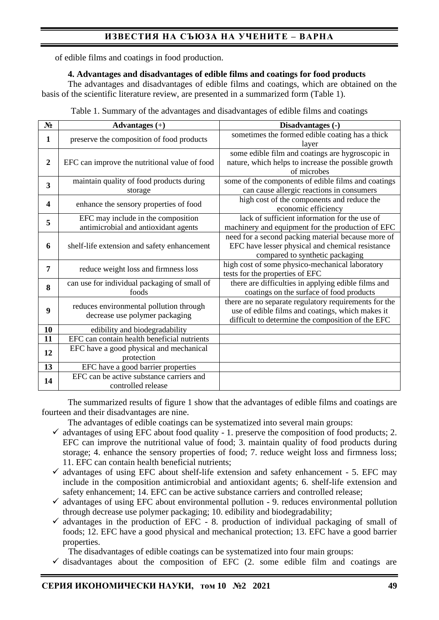of edible films and coatings in food production.

### **4. Advantages and disadvantages of edible films and coatings for food products**

The advantages and disadvantages of edible films and coatings, which are obtained on the basis of the scientific literature review, are presented in a summarized form (Table 1).

| $N_2$          | Advantages $(+)$                                                           | Disadvantages (-)                                                                                                                                              |
|----------------|----------------------------------------------------------------------------|----------------------------------------------------------------------------------------------------------------------------------------------------------------|
| $\mathbf{1}$   | preserve the composition of food products                                  | sometimes the formed edible coating has a thick<br>layer                                                                                                       |
| $\overline{2}$ | EFC can improve the nutritional value of food                              | some edible film and coatings are hygroscopic in<br>nature, which helps to increase the possible growth<br>of microbes                                         |
| 3              | maintain quality of food products during<br>storage                        | some of the components of edible films and coatings<br>can cause allergic reactions in consumers                                                               |
| 4              | enhance the sensory properties of food                                     | high cost of the components and reduce the<br>economic efficiency                                                                                              |
| 5              | EFC may include in the composition<br>antimicrobial and antioxidant agents | lack of sufficient information for the use of<br>machinery and equipment for the production of EFC                                                             |
| 6              | shelf-life extension and safety enhancement                                | need for a second packing material because more of<br>EFC have lesser physical and chemical resistance<br>compared to synthetic packaging                      |
| 7              | reduce weight loss and firmness loss                                       | high cost of some physico-mechanical laboratory<br>tests for the properties of EFC                                                                             |
| 8              | can use for individual packaging of small of<br>foods                      | there are difficulties in applying edible films and<br>coatings on the surface of food products                                                                |
| 9              | reduces environmental pollution through<br>decrease use polymer packaging  | there are no separate regulatory requirements for the<br>use of edible films and coatings, which makes it<br>difficult to determine the composition of the EFC |
| 10             | edibility and biodegradability                                             |                                                                                                                                                                |
| 11             | EFC can contain health beneficial nutrients                                |                                                                                                                                                                |
| 12             | EFC have a good physical and mechanical<br>protection                      |                                                                                                                                                                |
| 13             | EFC have a good barrier properties                                         |                                                                                                                                                                |
| 14             | EFC can be active substance carriers and<br>controlled release             |                                                                                                                                                                |

The summarized results of figure 1 show that the advantages of edible films and coatings are fourteen and their disadvantages are nine.

The advantages of edible coatings can be systematized into several main groups:

- $\checkmark$  advantages of using EFC about food quality 1. preserve the composition of food products; 2. EFC can improve the nutritional value of food; 3. maintain quality of food products during storage; 4. enhance the sensory properties of food; 7. reduce weight loss and firmness loss; 11. EFC can contain health beneficial nutrients;
- $\checkmark$  advantages of using EFC about shelf-life extension and safety enhancement 5. EFC may include in the composition antimicrobial and antioxidant agents; 6. shelf-life extension and safety enhancement; 14. EFC can be active substance carriers and controlled release;
- $\checkmark$  advantages of using EFC about environmental pollution 9. reduces environmental pollution through decrease use polymer packaging; 10. edibility and biodegradability;
- $\checkmark$  advantages in the production of EFC 8. production of individual packaging of small of foods; 12. EFC have a good physical and mechanical protection; 13. EFC have a good barrier properties.

The disadvantages of edible coatings can be systematized into four main groups:

 $\checkmark$  disadvantages about the composition of EFC (2. some edible film and coatings are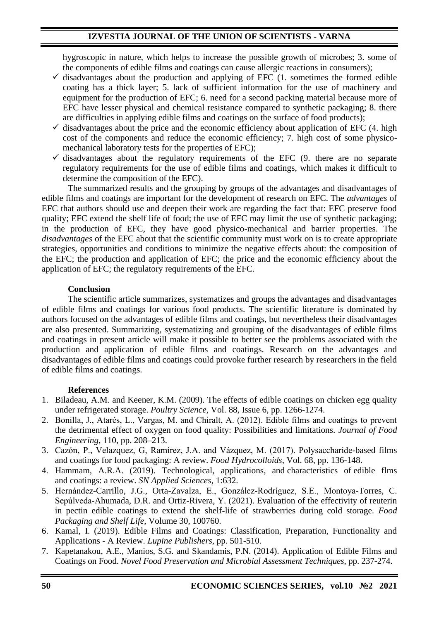hygroscopic in nature, which helps to increase the possible growth of microbes; 3. some of the components of edible films and coatings can cause allergic reactions in consumers);

- $\checkmark$  disadvantages about the production and applying of EFC (1. sometimes the formed edible coating has a thick layer; 5. lack of sufficient information for the use of machinery and equipment for the production of EFC; 6. need for a second packing material because more of EFC have lesser physical and chemical resistance compared to synthetic packaging; 8. there are difficulties in applying edible films and coatings on the surface of food products);
- $\checkmark$  disadvantages about the price and the economic efficiency about application of EFC (4. high cost of the components and reduce the economic efficiency; 7. high cost of some physicomechanical laboratory tests for the properties of EFC);
- $\checkmark$  disadvantages about the regulatory requirements of the EFC (9. there are no separate regulatory requirements for the use of edible films and coatings, which makes it difficult to determine the composition of the EFC).

The summarized results and the grouping by groups of the advantages and disadvantages of edible films and coatings are important for the development of research on EFC. The *advantages* of EFC that authors should use and deepen their work are regarding the fact that: EFC preserve food quality; EFC extend the shelf life of food; the use of EFC may limit the use of synthetic packaging; in the production of EFC, they have good physico-mechanical and barrier properties. The *disadvantages* of the EFC about that the scientific community must work on is to create appropriate strategies, opportunities and conditions to minimize the negative effects about: the composition of the EFC; the production and application of EFC; the price and the economic efficiency about the application of EFC; the regulatory requirements of the EFC.

### **Conclusion**

The scientific article summarizes, systematizes and groups the advantages and disadvantages of edible films and coatings for various food products. The scientific literature is dominated by authors focused on the advantages of edible films and coatings, but nevertheless their disadvantages are also presented. Summarizing, systematizing and grouping of the disadvantages of edible films and coatings in present article will make it possible to better see the problems associated with the production and application of edible films and coatings. Research on the advantages and disadvantages of edible films and coatings could provoke further research by researchers in the field of edible films and coatings.

### **References**

- 1. Biladeau, A.M. and Keener, K.M. (2009). The effects of edible coatings on chicken egg quality under refrigerated storage. *Poultry Science*, Vol. 88, Issue 6, pp. 1266-1274.
- 2. Bonilla, J., Atarés, L., Vargas, M. and Chiralt, A. (2012). Edible films and coatings to prevent the detrimental effect of oxygen on food quality: Possibilities and limitations. *Journal of Food Engineering*, 110, pp. 208–213.
- 3. Cazón, P., Velazquez, G, Ramírez, J.A. and Vázquez, M. (2017). Polysaccharide-based films and coatings for food packaging: A review. *Food Hydrocolloids*, Vol. 68, pp. 136-148.
- 4. Hammam, A.R.A. (2019). Technological, applications, and characteristics of edible flms and coatings: a review. *SN Applied Sciences*, 1:632.
- 5. Hernández-Carrillo, J.G., Orta-Zavalza, E., González-Rodríguez, S.E., Montoya-Torres, C. Sepúlveda-Ahumada, D.R. and Ortiz-Rivera, Y. (2021). Evaluation of the effectivity of reuterin in pectin edible coatings to extend the shelf-life of strawberries during cold storage. *Food Packaging and Shelf Life*, Volume 30, 100760.
- 6. Kamal, I. (2019). Edible Films and Coatings: Classification, Preparation, Functionality and Applications - A Review. *Lupine Publishers*, pp. 501-510.
- 7. Kapetanakou, A.E., Manios, S.G. and Skandamis, P.N. (2014). Application of Edible Films and Coatings on Food. *Novel Food Preservation and Microbial Assessment Techniques*, pp. 237-274.